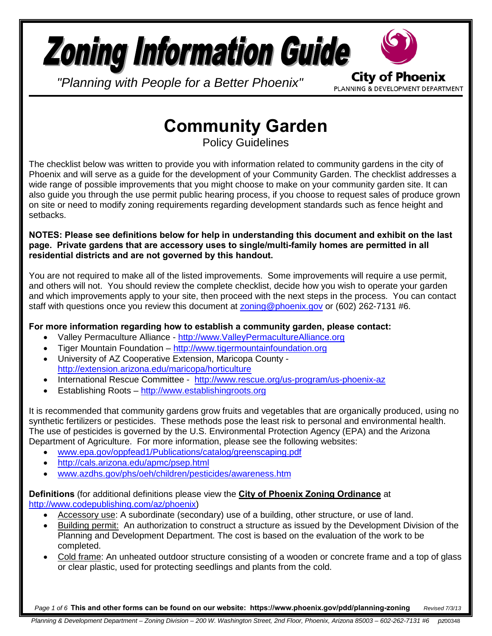# **Zoning Information Guide**

*"Planning with People for a Better Phoenix"*

**City of Phoenix** PLANNING & DEVELOPMENT DEPARTMENT

# **Community Garden**

Policy Guidelines

The checklist below was written to provide you with information related to community gardens in the city of Phoenix and will serve as a guide for the development of your Community Garden. The checklist addresses a wide range of possible improvements that you might choose to make on your community garden site. It can also guide you through the use permit public hearing process, if you choose to request sales of produce grown on site or need to modify zoning requirements regarding development standards such as fence height and setbacks.

**NOTES: Please see definitions below for help in understanding this document and exhibit on the last page. Private gardens that are accessory uses to single/multi-family homes are permitted in all residential districts and are not governed by this handout.**

You are not required to make all of the listed improvements. Some improvements will require a use permit, and others will not. You should review the complete checklist, decide how you wish to operate your garden and which improvements apply to your site, then proceed with the next steps in the process. You can contact staff with questions once you review this document at [zoning@phoenix.gov](mailto:zoning@phoenix.gov) or (602) 262-7131 #6.

# **For more information regarding how to establish a community garden, please contact:**

- Valley Permaculture Alliance - [http://www.ValleyPermacultureAlliance.org](http://www.valleypermaculturealliance.org/)
- Tiger Mountain Foundation – [http://www.tigermountainfoundation.org](http://www.tigermountainfoundation.org/)
- University of AZ Cooperative Extension, Maricopa County <http://extension.arizona.edu/maricopa/horticulture>
- International Rescue Committee <http://www.rescue.org/us-program/us-phoenix-az>
- Establishing Roots – [http://www.establishingroots.org](http://www.establishingroots.org/)

It is recommended that community gardens grow fruits and vegetables that are organically produced, using no synthetic fertilizers or pesticides. These methods pose the least risk to personal and environmental health. The use of pesticides is governed by the U.S. Environmental Protection Agency (EPA) and the Arizona Department of Agriculture. For more information, please see the following websites:

- [www.epa.gov/oppfead1/Publications/catalog/greenscaping.pdf](http://www.epa.gov/oppfead1/Publications/catalog/greenscaping.pdf)
- <http://cals.arizona.edu/apmc/psep.html>
- [www.azdhs.gov/phs/oeh/children/pesticides/awareness.htm](http://www.azdhs.gov/phs/oeh/children/pesticides/awareness.htm)

#### **Definitions** (for additional definitions please view the **City of Phoenix Zoning Ordinance** at [http://www.codepublishing.com/az/phoenix\)](http://www.codepublishing.com/az/phoenix)

- Accessory use: A subordinate (secondary) use of a building, other structure, or use of land.
- Building permit: An authorization to construct a structure as issued by the Development Division of the Planning and Development Department. The cost is based on the evaluation of the work to be completed.
- Cold frame: An unheated outdoor structure consisting of a wooden or concrete frame and a top of glass or clear plastic, used for protecting seedlings and plants from the cold.

*Page 1 of 6* **This and other forms can be found on our website: https://www.phoenix.gov/pdd/planning-zoning** *Revised 7/3/13*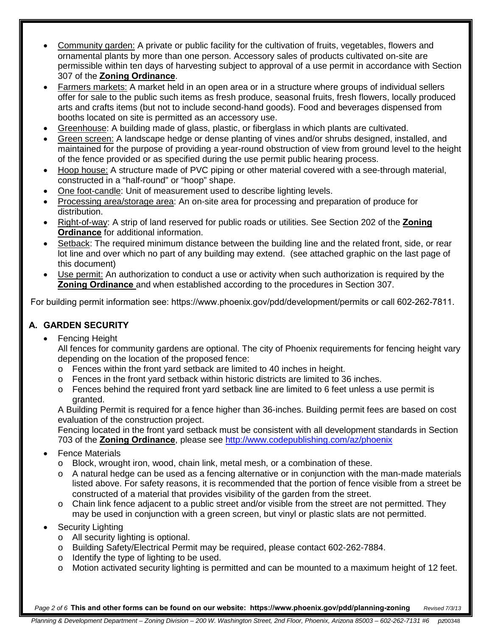- Community garden: A private or public facility for the cultivation of fruits, vegetables, flowers and ornamental plants by more than one person. Accessory sales of products cultivated on-site are permissible within ten days of harvesting subject to approval of a use permit in accordance with Section 307 of the **Zoning Ordinance**.
- Farmers markets: A market held in an open area or in a structure where groups of individual sellers offer for sale to the public such items as fresh produce, seasonal fruits, fresh flowers, locally produced arts and crafts items (but not to include second-hand goods). Food and beverages dispensed from booths located on site is permitted as an accessory use.
- Greenhouse: A building made of glass, plastic, or fiberglass in which plants are cultivated.
- Green screen: A landscape hedge or dense planting of vines and/or shrubs designed, installed, and maintained for the purpose of providing a year-round obstruction of view from ground level to the height of the fence provided or as specified during the use permit public hearing process.
- Hoop house: A structure made of PVC piping or other material covered with a see-through material, constructed in a "half-round" or "hoop" shape.
- One foot-candle: Unit of measurement used to describe lighting levels.
- Processing area/storage area: An on-site area for processing and preparation of produce for distribution.
- Right-of-way: A strip of land reserved for public roads or utilities. See Section 202 of the **Zoning Ordinance** for additional information.
- Setback: The required minimum distance between the building line and the related front, side, or rear lot line and over which no part of any building may extend. (see attached graphic on the last page of this document)
- Use permit: An authorization to conduct a use or activity when such authorization is required by the **Zoning Ordinance** and when established according to the procedures in Section 307.

For building permit information see: https://www.phoenix.gov/pdd/development/permits or call 602-262-7811.

# **A. GARDEN SECURITY**

• Fencing Height

All fences for community gardens are optional. The city of Phoenix requirements for fencing height vary depending on the location of the proposed fence:

- o Fences within the front yard setback are limited to 40 inches in height.
- o Fences in the front yard setback within historic districts are limited to 36 inches.
- o Fences behind the required front yard setback line are limited to 6 feet unless a use permit is granted.

A Building Permit is required for a fence higher than 36-inches. Building permit fees are based on cost evaluation of the construction project.

Fencing located in the front yard setback must be consistent with all development standards in Section 703 of the **Zoning Ordinance**, please see<http://www.codepublishing.com/az/phoenix>

- Fence Materials
	- o Block, wrought iron, wood, chain link, metal mesh, or a combination of these.
	- o A natural hedge can be used as a fencing alternative or in conjunction with the man-made materials listed above. For safety reasons, it is recommended that the portion of fence visible from a street be constructed of a material that provides visibility of the garden from the street.
	- $\circ$  Chain link fence adjacent to a public street and/or visible from the street are not permitted. They may be used in conjunction with a green screen, but vinyl or plastic slats are not permitted.
- Security Lighting
	- o All security lighting is optional.
	- o Building Safety/Electrical Permit may be required, please contact 602-262-7884.
	- o Identify the type of lighting to be used.
	- o Motion activated security lighting is permitted and can be mounted to a maximum height of 12 feet.

*Page 2 of 6 Revised 7/3/13* **This and other forms can be found on our website: https://www.phoenix.gov/pdd/planning-zoning**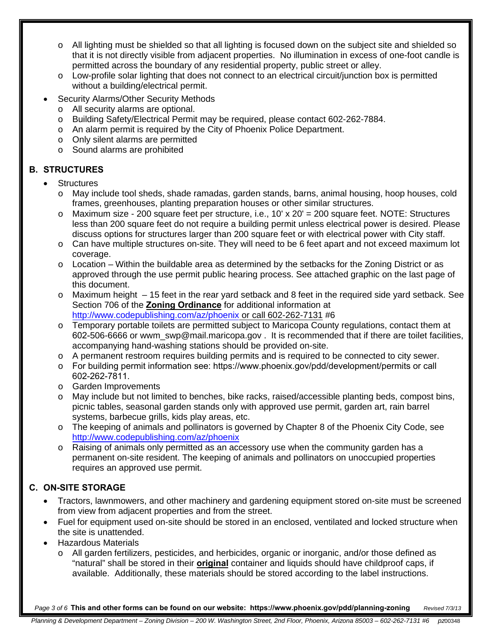- o All lighting must be shielded so that all lighting is focused down on the subject site and shielded so that it is not directly visible from adjacent properties. No illumination in excess of one-foot candle is permitted across the boundary of any residential property, public street or alley.
- $\circ$  Low-profile solar lighting that does not connect to an electrical circuit/junction box is permitted without a building/electrical permit.
- Security Alarms/Other Security Methods
	- o All security alarms are optional.
	- o Building Safety/Electrical Permit may be required, please contact 602-262-7884.
	- o An alarm permit is required by the City of Phoenix Police Department.
	- o Only silent alarms are permitted
	- o Sound alarms are prohibited

## **B. STRUCTURES**

- **Structures** 
	- o May include tool sheds, shade ramadas, garden stands, barns, animal housing, hoop houses, cold frames, greenhouses, planting preparation houses or other similar structures.
	- $\circ$  Maximum size 200 square feet per structure, i.e., 10' x 20' = 200 square feet. NOTE: Structures less than 200 square feet do not require a building permit unless electrical power is desired. Please discuss options for structures larger than 200 square feet or with electrical power with City staff.
	- o Can have multiple structures on-site. They will need to be 6 feet apart and not exceed maximum lot coverage.
	- $\circ$  Location Within the buildable area as determined by the setbacks for the Zoning District or as approved through the use permit public hearing process. See attached graphic on the last page of this document.
	- o Maximum height 15 feet in the rear yard setback and 8 feet in the required side yard setback. See Section 706 of the **Zoning Ordinance** for additional information at [http://www.codepublishing.com/az/phoenix](http://www.codepublishing.com/az/phoenix%20or%20call%20602-262-7131) or call 602-262-7131 #6
	- o Temporary portable toilets are permitted subject to Maricopa County regulations, contact them at 602-506-6666 or wwm\_swp@mail.maricopa.gov . It is recommended that if there are toilet facilities, accompanying hand-washing stations should be provided on-site.
	- o A permanent restroom requires building permits and is required to be connected to city sewer.
	- o For building permit information see: https://www.phoenix.gov/pdd/development/permits or call 602-262-7811.
	- o Garden Improvements
	- o May include but not limited to benches, bike racks, raised/accessible planting beds, compost bins, picnic tables, seasonal garden stands only with approved use permit, garden art, rain barrel systems, barbecue grills, kids play areas, etc.
	- o The keeping of animals and pollinators is governed by Chapter 8 of the Phoenix City Code, see <http://www.codepublishing.com/az/phoenix>
	- o Raising of animals only permitted as an accessory use when the community garden has a permanent on-site resident. The keeping of animals and pollinators on unoccupied properties requires an approved use permit.

# **C. ON-SITE STORAGE**

- Tractors, lawnmowers, and other machinery and gardening equipment stored on-site must be screened from view from adjacent properties and from the street.
- Fuel for equipment used on-site should be stored in an enclosed, ventilated and locked structure when the site is unattended.
- Hazardous Materials
	- o All garden fertilizers, pesticides, and herbicides, organic or inorganic, and/or those defined as "natural" shall be stored in their **original** container and liquids should have childproof caps, if available. Additionally, these materials should be stored according to the label instructions.

*Page 3 of 6 Revised 7/3/13* **This and other forms can be found on our website: https://www.phoenix.gov/pdd/planning-zoning**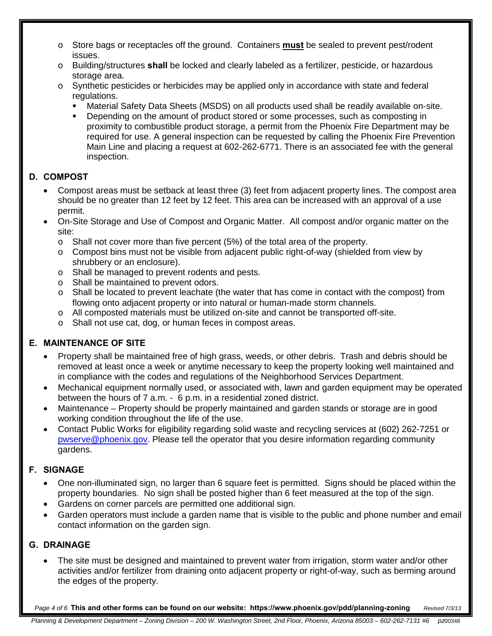- o Store bags or receptacles off the ground. Containers **must** be sealed to prevent pest/rodent issues.
- o Building/structures **shall** be locked and clearly labeled as a fertilizer, pesticide, or hazardous storage area.
- o Synthetic pesticides or herbicides may be applied only in accordance with state and federal regulations.
	- Material Safety Data Sheets (MSDS) on all products used shall be readily available on-site.
	- Depending on the amount of product stored or some processes, such as composting in proximity to combustible product storage, a permit from the Phoenix Fire Department may be required for use. A general inspection can be requested by calling the Phoenix Fire Prevention Main Line and placing a request at 602-262-6771. There is an associated fee with the general inspection.

## **D. COMPOST**

- Compost areas must be setback at least three (3) feet from adjacent property lines. The compost area should be no greater than 12 feet by 12 feet. This area can be increased with an approval of a use permit.
- On-Site Storage and Use of Compost and Organic Matter. All compost and/or organic matter on the site:
	- $\circ$  Shall not cover more than five percent (5%) of the total area of the property.
	- o Compost bins must not be visible from adjacent public right-of-way (shielded from view by shrubbery or an enclosure).
	- o Shall be managed to prevent rodents and pests.
	- o Shall be maintained to prevent odors.
	- $\circ$  Shall be located to prevent leachate (the water that has come in contact with the compost) from flowing onto adjacent property or into natural or human-made storm channels.
	- o All composted materials must be utilized on-site and cannot be transported off-site.
	- o Shall not use cat, dog, or human feces in compost areas.

#### **E. MAINTENANCE OF SITE**

- Property shall be maintained free of high grass, weeds, or other debris. Trash and debris should be removed at least once a week or anytime necessary to keep the property looking well maintained and in compliance with the codes and regulations of the Neighborhood Services Department.
- Mechanical equipment normally used, or associated with, lawn and garden equipment may be operated between the hours of 7 a.m. - 6 p.m. in a residential zoned district.
- Maintenance Property should be properly maintained and garden stands or storage are in good working condition throughout the life of the use.
- Contact Public Works for eligibility regarding solid waste and recycling services at (602) 262-7251 or [pwserve@phoenix.gov.](mailto:pwserve@phoenix.gov) Please tell the operator that you desire information regarding community gardens.

#### **F. SIGNAGE**

- One non-illuminated sign, no larger than 6 square feet is permitted. Signs should be placed within the property boundaries. No sign shall be posted higher than 6 feet measured at the top of the sign.
- Gardens on corner parcels are permitted one additional sign.
- Garden operators must include a garden name that is visible to the public and phone number and email contact information on the garden sign.

#### **G. DRAINAGE**

The site must be designed and maintained to prevent water from irrigation, storm water and/or other activities and/or fertilizer from draining onto adjacent property or right-of-way, such as berming around the edges of the property.

*Page 4 of 6 Revised 7/3/13* **This and other forms can be found on our website: https://www.phoenix.gov/pdd/planning-zoning**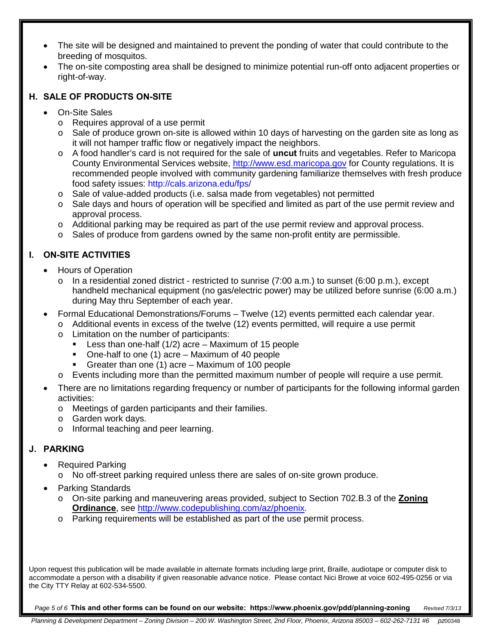- The site will be designed and maintained to prevent the ponding of water that could contribute to the breeding of mosquitos.
- The on-site composting area shall be designed to minimize potential run-off onto adjacent properties or right-of-way.

#### **H. SALE OF PRODUCTS ON-SITE**

- On-Site Sales
	- o Requires approval of a use permit
	- $\circ$  Sale of produce grown on-site is allowed within 10 days of harvesting on the garden site as long as it will not hamper traffic flow or negatively impact the neighbors.
	- o A food handler's card is not required for the sale of **uncut** fruits and vegetables. Refer to Maricopa County Environmental Services website, [http://www.esd.maricopa.gov](http://www.esd.maricopa.gov/) for County regulations. It is recommended people involved with community gardening familiarize themselves with fresh produce food safety issues: http://cals.arizona.edu/fps/
	- o Sale of value-added products (i.e. salsa made from vegetables) not permitted
	- o Sale days and hours of operation will be specified and limited as part of the use permit review and approval process.
	- o Additional parking may be required as part of the use permit review and approval process.
	- $\circ$  Sales of produce from gardens owned by the same non-profit entity are permissible.

## **I. ON-SITE ACTIVITIES**

- Hours of Operation
	- $\circ$  In a residential zoned district restricted to sunrise (7:00 a.m.) to sunset (6:00 p.m.), except handheld mechanical equipment (no gas/electric power) may be utilized before sunrise (6:00 a.m.) during May thru September of each year.
- Formal Educational Demonstrations/Forums Twelve (12) events permitted each calendar year.
	- $\circ$  Additional events in excess of the twelve (12) events permitted, will require a use permit
	- o Limitation on the number of participants:
		- **Less than one-half (1/2) acre Maximum of 15 people**
		- One-half to one (1) acre Maximum of 40 people
		- Greater than one (1) acre Maximum of 100 people
	- o Events including more than the permitted maximum number of people will require a use permit.
- There are no limitations regarding frequency or number of participants for the following informal garden activities:
	- o Meetings of garden participants and their families.
	- o Garden work days.
	- o Informal teaching and peer learning.

#### **J. PARKING**

- Required Parking
	- o No off-street parking required unless there are sales of on-site grown produce.
- Parking Standards
	- o On-site parking and maneuvering areas provided, subject to Section 702.B.3 of the **Zoning Ordinance**, see [http://www.codepublishing.com/az/phoenix.](http://www.codepublishing.com/az/phoenix)
	- o Parking requirements will be established as part of the use permit process.

Upon request this publication will be made available in alternate formats including large print, Braille, audiotape or computer disk to accommodate a person with a disability if given reasonable advance notice. Please contact Nici Browe at voice 602-495-0256 or via the City TTY Relay at 602-534-5500.

*Page 5 of 6 Revised 7/3/13* **This and other forms can be found on our website: https://www.phoenix.gov/pdd/planning-zoning**